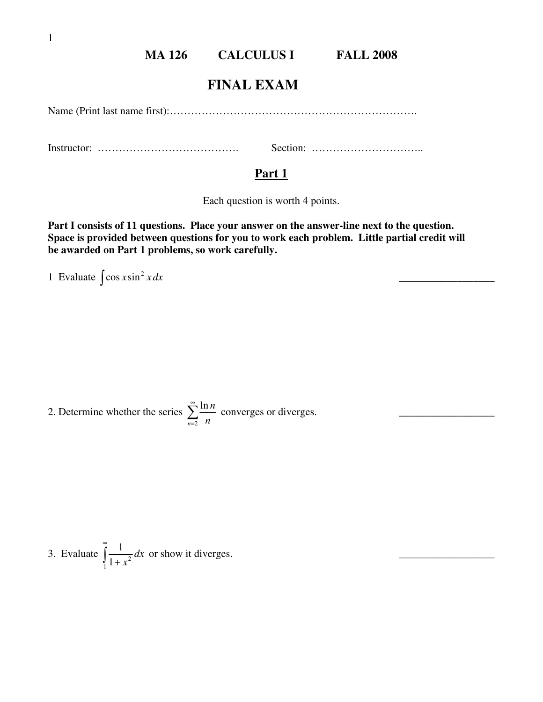### **MA 126 CALCULUS I FALL 2008**

## **FINAL EXAM**

Name (Print last name first):…………………………………………………………….

Instructor: …………………………………. Section: …………………………..

#### **Part 1**

Each question is worth 4 points.

 $\overline{\phantom{a}}$  , and the contract of the contract of the contract of the contract of the contract of the contract of the contract of the contract of the contract of the contract of the contract of the contract of the contrac

**Part I consists of 11 questions. Place your answer on the answer-line next to the question. Space is provided between questions for you to work each problem. Little partial credit will be awarded on Part 1 problems, so work carefully.** 

1 Evaluate  $\int \cos x \sin^2 x dx$ 

2. Determine whether the series 2 ln *n n n* ∞ = ∑ converges or diverges. \_\_\_\_\_\_\_\_\_\_\_\_\_\_\_\_\_\_

3. Evaluate 
$$
\int_{1}^{\infty} \frac{1}{1+x^2} dx
$$
 or show it diverges.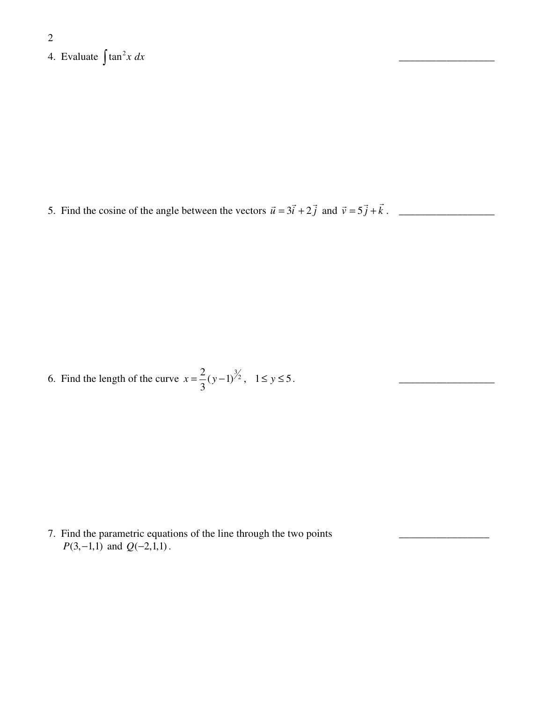2 4. Evaluate  $\int \tan^2 x \, dx$ 

5. Find the cosine of the angle between the vectors  $\vec{u} = 3\vec{i} + 2\vec{j}$  and  $\vec{v} = 5\vec{j} + \vec{k}$ .

 $\mathcal{L}_\mathcal{L}$  , which is a set of the set of the set of the set of the set of the set of the set of the set of the set of the set of the set of the set of the set of the set of the set of the set of the set of the set of

6. Find the length of the curve  $x = \frac{2}{3}(y-1)^{3/2}$ 3  $x = \frac{2}{2}(y-1)^{3/2}$ ,  $1 \le y \le 5$ .

7. Find the parametric equations of the line through the two points *P*(3, -1,1) and  $Q(-2,1,1)$ .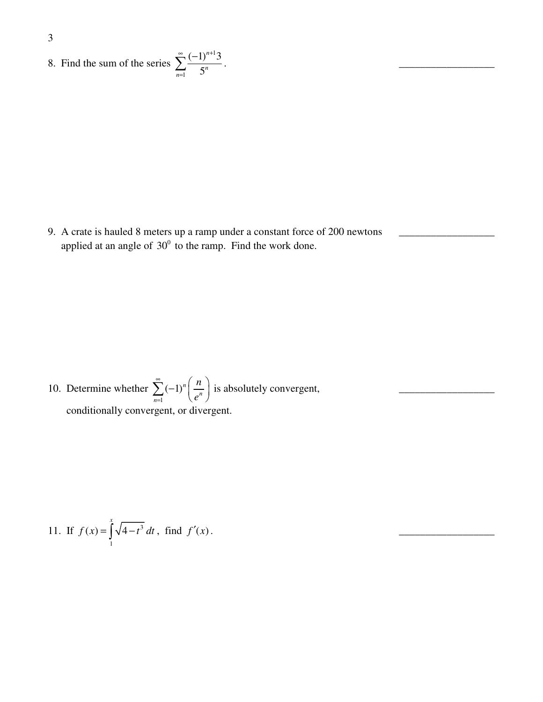8. Find the sum of the series 1 1  $(-1)^{n+1}3$ 5 *n*  $\sum_{n=1}$  5<sup>n</sup> ∞  $(1)$ <sup>n+</sup> =  $\sum_{n=1}^{\infty} \frac{(-1)^{n+1}3}{5^n}$ .

9. A crate is hauled 8 meters up a ramp under a constant force of 200 newtons applied at an angle of  $30^{\circ}$  to the ramp. Find the work done.

10. Determine whether 1  $\sum_{n=1}^{\infty}$   $\left(-1\right)^n \left(\frac{n}{e^n}\right)$ *n e* ∞ =  $\sum_{n=1}^{\infty} (-1)^n \left(\frac{n}{e^n}\right)$  is absolutely convergent, conditionally convergent, or divergent.

11. If 
$$
f(x) = \int_{1}^{x} \sqrt{4-t^3} dt
$$
, find  $f'(x)$ .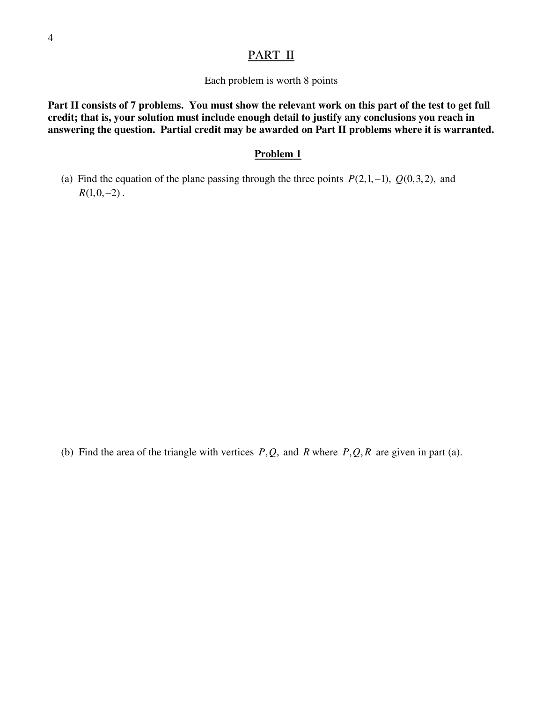### PART II

Each problem is worth 8 points

**Part II consists of 7 problems. You must show the relevant work on this part of the test to get full credit; that is, your solution must include enough detail to justify any conclusions you reach in answering the question. Partial credit may be awarded on Part II problems where it is warranted.** 

#### **Problem 1**

(a) Find the equation of the plane passing through the three points  $P(2,1,-1)$ ,  $Q(0,3,2)$ , and  $R(1,0,-2)$ .

(b) Find the area of the triangle with vertices  $P, Q$ , and  $R$  where  $P, Q, R$  are given in part (a).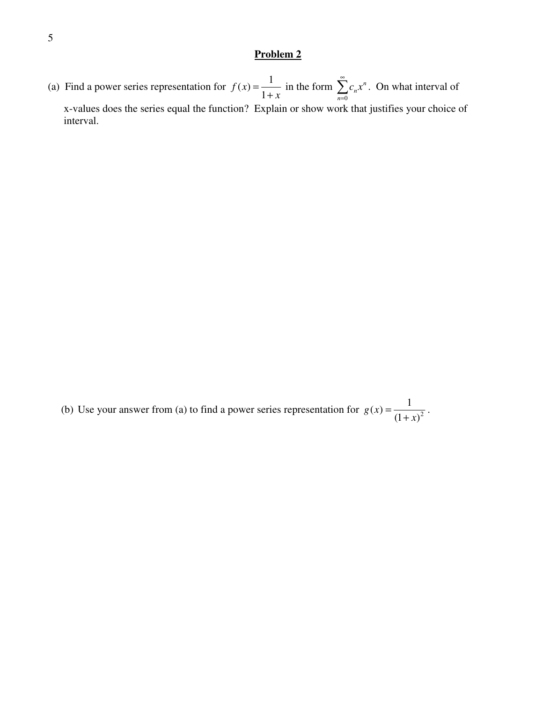(a) Find a power series representation for  $f(x) = \frac{1}{x}$ 1 *f x x* =  $\frac{1}{+x}$  in the form 0 *n n n*  $c_n x$ ∞  $\sum_{n=0}^{\infty} c_n x^n$ . On what interval of x-values does the series equal the function? Explain or show work that justifies your choice of interval.

(b) Use your answer from (a) to find a power series representation for  $g(x) = \frac{1}{(1+x)^2}$  $(1 + x)$ *g x x* =  $\frac{1}{(x+1)^2}$ .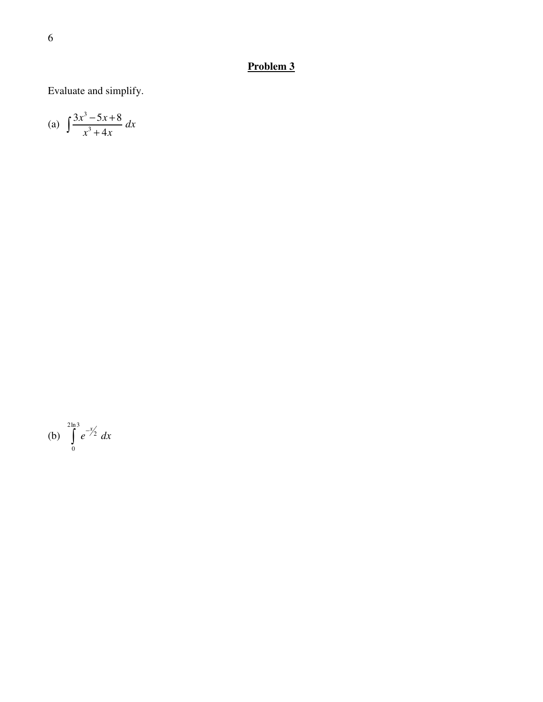Evaluate and simplify.

(a) 
$$
\int \frac{3x^3 - 5x + 8}{x^3 + 4x} dx
$$

(b) 
$$
\int_{0}^{2\ln 3} e^{-x/2} dx
$$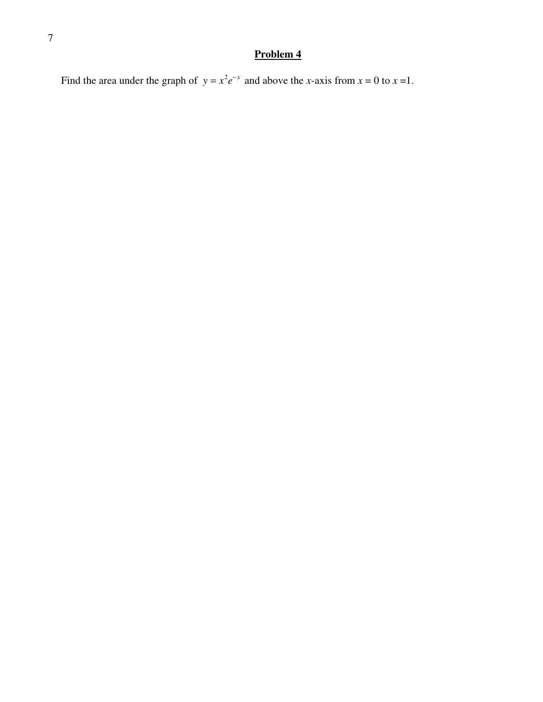Find the area under the graph of  $y = x^2 e^{-x}$  and above the *x*-axis from  $x = 0$  to  $x = 1$ .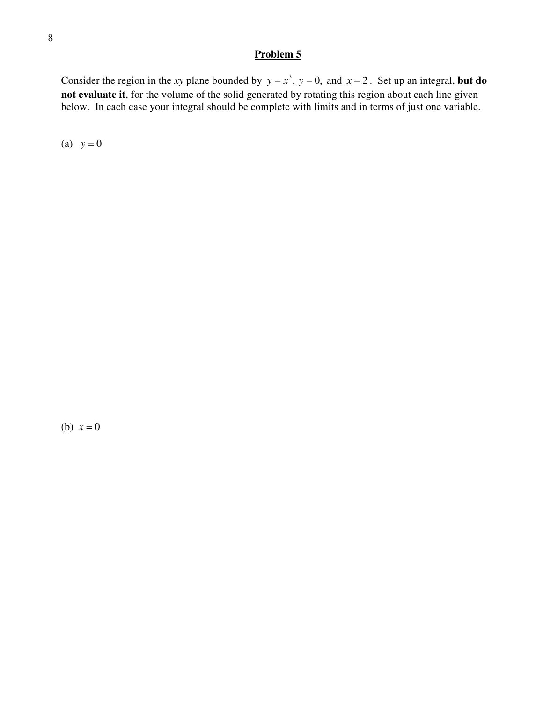Consider the region in the *xy* plane bounded by  $y = x^3$ ,  $y = 0$ , and  $x = 2$ . Set up an integral, but do **not evaluate it**, for the volume of the solid generated by rotating this region about each line given below. In each case your integral should be complete with limits and in terms of just one variable.

(a)  $y = 0$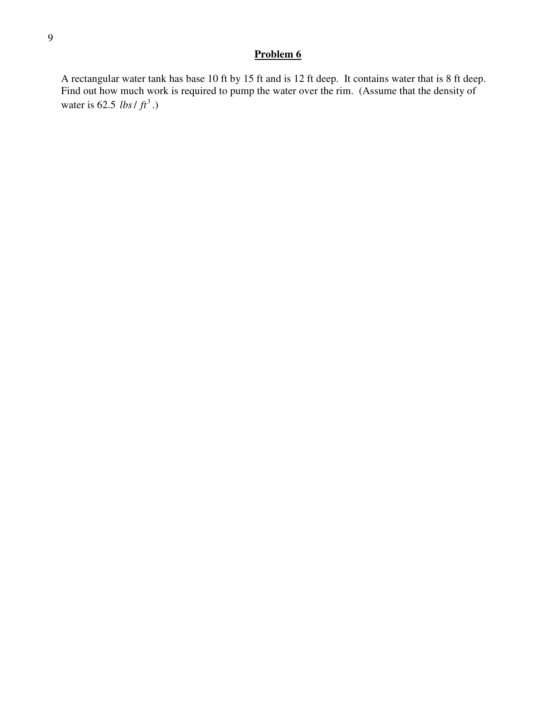A rectangular water tank has base 10 ft by 15 ft and is 12 ft deep. It contains water that is 8 ft deep. Find out how much work is required to pump the water over the rim. (Assume that the density of water is  $62.5$  *lbs / ft*<sup>3</sup>.)